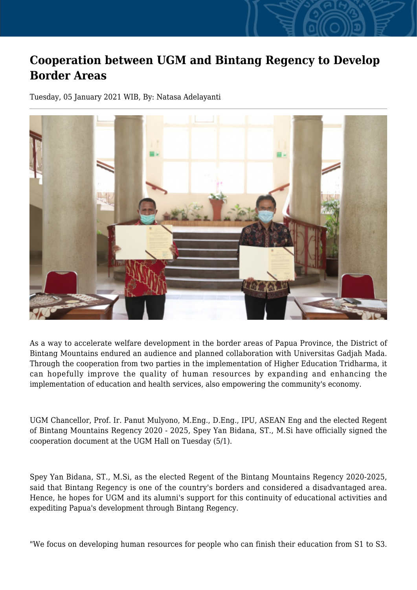## **Cooperation between UGM and Bintang Regency to Develop Border Areas**

Tuesday, 05 January 2021 WIB, By: Natasa Adelayanti



As a way to accelerate welfare development in the border areas of Papua Province, the District of Bintang Mountains endured an audience and planned collaboration with Universitas Gadjah Mada. Through the cooperation from two parties in the implementation of Higher Education Tridharma, it can hopefully improve the quality of human resources by expanding and enhancing the implementation of education and health services, also empowering the community's economy.

UGM Chancellor, Prof. Ir. Panut Mulyono, M.Eng., D.Eng., IPU, ASEAN Eng and the elected Regent of Bintang Mountains Regency 2020 - 2025, Spey Yan Bidana, ST., M.Si have officially signed the cooperation document at the UGM Hall on Tuesday (5/1).

Spey Yan Bidana, ST., M.Si, as the elected Regent of the Bintang Mountains Regency 2020-2025, said that Bintang Regency is one of the country's borders and considered a disadvantaged area. Hence, he hopes for UGM and its alumni's support for this continuity of educational activities and expediting Papua's development through Bintang Regency.

"We focus on developing human resources for people who can finish their education from S1 to S3.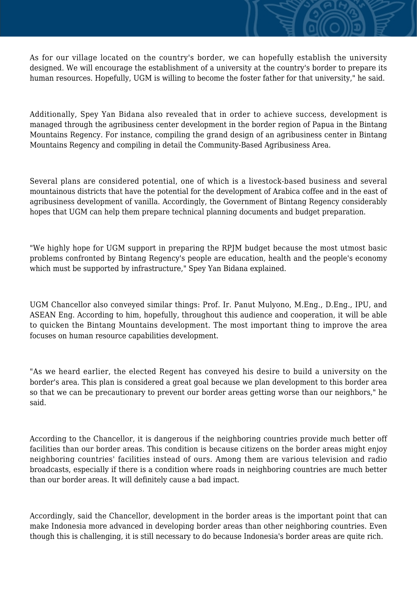As for our village located on the country's border, we can hopefully establish the university designed. We will encourage the establishment of a university at the country's border to prepare its human resources. Hopefully, UGM is willing to become the foster father for that university," he said.

Additionally, Spey Yan Bidana also revealed that in order to achieve success, development is managed through the agribusiness center development in the border region of Papua in the Bintang Mountains Regency. For instance, compiling the grand design of an agribusiness center in Bintang Mountains Regency and compiling in detail the Community-Based Agribusiness Area.

Several plans are considered potential, one of which is a livestock-based business and several mountainous districts that have the potential for the development of Arabica coffee and in the east of agribusiness development of vanilla. Accordingly, the Government of Bintang Regency considerably hopes that UGM can help them prepare technical planning documents and budget preparation.

"We highly hope for UGM support in preparing the RPJM budget because the most utmost basic problems confronted by Bintang Regency's people are education, health and the people's economy which must be supported by infrastructure," Spey Yan Bidana explained.

UGM Chancellor also conveyed similar things: Prof. Ir. Panut Mulyono, M.Eng., D.Eng., IPU, and ASEAN Eng. According to him, hopefully, throughout this audience and cooperation, it will be able to quicken the Bintang Mountains development. The most important thing to improve the area focuses on human resource capabilities development.

"As we heard earlier, the elected Regent has conveyed his desire to build a university on the border's area. This plan is considered a great goal because we plan development to this border area so that we can be precautionary to prevent our border areas getting worse than our neighbors," he said.

According to the Chancellor, it is dangerous if the neighboring countries provide much better off facilities than our border areas. This condition is because citizens on the border areas might enjoy neighboring countries' facilities instead of ours. Among them are various television and radio broadcasts, especially if there is a condition where roads in neighboring countries are much better than our border areas. It will definitely cause a bad impact.

Accordingly, said the Chancellor, development in the border areas is the important point that can make Indonesia more advanced in developing border areas than other neighboring countries. Even though this is challenging, it is still necessary to do because Indonesia's border areas are quite rich.